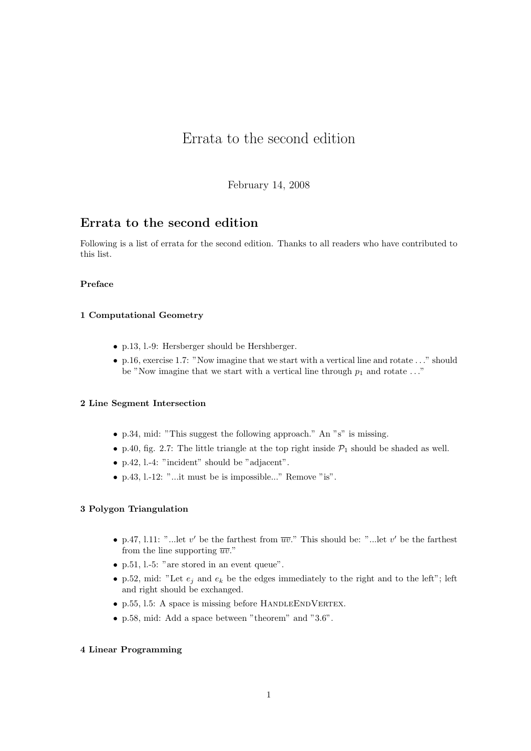# Errata to the second edition

February 14, 2008

## Errata to the second edition

Following is a list of errata for the second edition. Thanks to all readers who have contributed to this list.

## Preface

## 1 Computational Geometry

- p.13, l.-9: Hersberger should be Hershberger.
- p.16, exercise 1.7: "Now imagine that we start with a vertical line and rotate  $\dots$ " should be "Now imagine that we start with a vertical line through  $p_1$  and rotate ..."

## 2 Line Segment Intersection

- p.34, mid: "This suggest the following approach." An "s" is missing.
- p.40, fig. 2.7: The little triangle at the top right inside  $\mathcal{P}_1$  should be shaded as well.
- p.42, l.-4: "incident" should be "adjacent".
- p.43, l.-12: "...it must be is impossible..." Remove "is".

## 3 Polygon Triangulation

- p.47, 1.11: "... let v' be the farthest from  $\overline{uv}$ ." This should be: "... let v' be the farthest from the line supporting  $\overline{uv}$ ."
- p.51, l.-5: "are stored in an event queue".
- p.52, mid: "Let  $e_i$  and  $e_k$  be the edges immediately to the right and to the left"; left and right should be exchanged.
- p.55, 1.5: A space is missing before HANDLEENDVERTEX.
- p.58, mid: Add a space between "theorem" and "3.6".

## 4 Linear Programming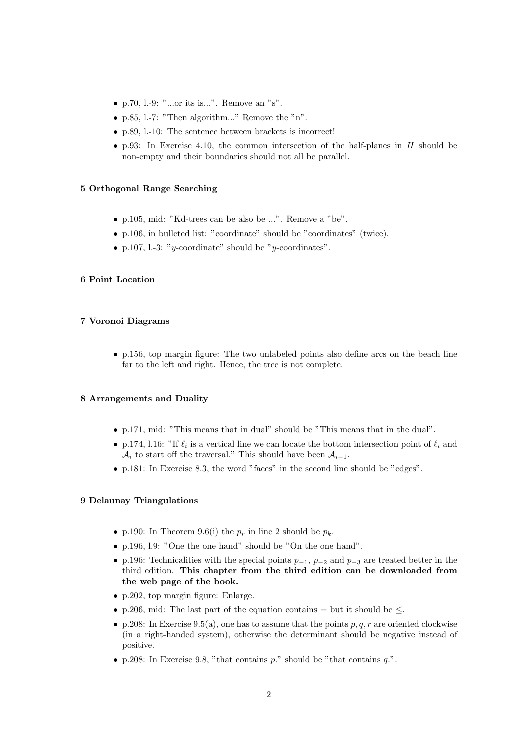- p.70, 1.-9: "...or its is...". Remove an "s".
- p.85, l.-7: "Then algorithm..." Remove the "n".
- p.89, l.-10: The sentence between brackets is incorrect!
- p.93: In Exercise 4.10, the common intersection of the half-planes in  $H$  should be non-empty and their boundaries should not all be parallel.

#### 5 Orthogonal Range Searching

- p.105, mid: "Kd-trees can be also be ...". Remove a "be".
- p.106, in bulleted list: "coordinate" should be "coordinates" (twice).
- p.107, 1.-3: "y-coordinate" should be "y-coordinates".

#### 6 Point Location

## 7 Voronoi Diagrams

• p.156, top margin figure: The two unlabeled points also define arcs on the beach line far to the left and right. Hence, the tree is not complete.

#### 8 Arrangements and Duality

- p.171, mid: "This means that in dual" should be "This means that in the dual".
- p.174, 1.16: "If  $\ell_i$  is a vertical line we can locate the bottom intersection point of  $\ell_i$  and  $\mathcal{A}_i$  to start off the traversal." This should have been  $\mathcal{A}_{i-1}$ .
- p.181: In Exercise 8.3, the word "faces" in the second line should be "edges".

#### 9 Delaunay Triangulations

- p.190: In Theorem 9.6(i) the  $p_r$  in line 2 should be  $p_k$ .
- p.196, l.9: "One the one hand" should be "On the one hand".
- p.196: Technicalities with the special points  $p_{-1}$ ,  $p_{-2}$  and  $p_{-3}$  are treated better in the third edition. This chapter from the third edition can be downloaded from the web page of the book.
- p.202, top margin figure: Enlarge.
- p.206, mid: The last part of the equation contains  $=$  but it should be  $\leq$ .
- p.208: In Exercise 9.5(a), one has to assume that the points  $p, q, r$  are oriented clockwise (in a right-handed system), otherwise the determinant should be negative instead of positive.
- p.208: In Exercise 9.8, "that contains  $p$ ." should be "that contains  $q$ .".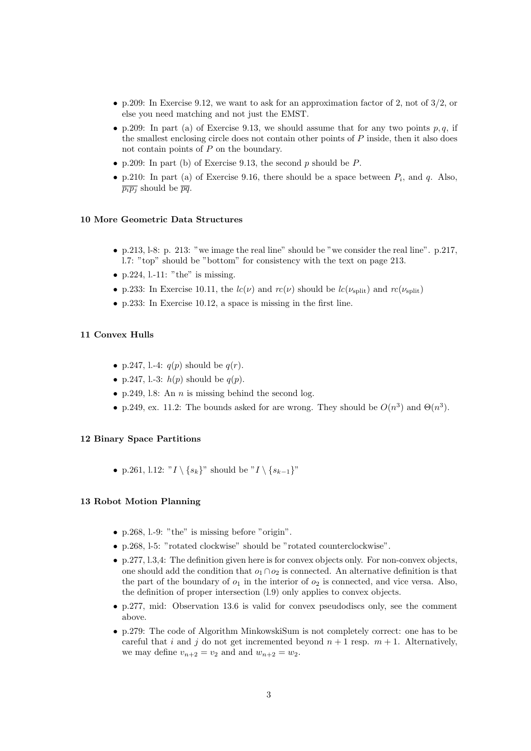- p.209: In Exercise 9.12, we want to ask for an approximation factor of 2, not of  $3/2$ , or else you need matching and not just the EMST.
- p.209: In part (a) of Exercise 9.13, we should assume that for any two points p, q, if the smallest enclosing circle does not contain other points of  $P$  inside, then it also does not contain points of P on the boundary.
- p.209: In part (b) of Exercise 9.13, the second  $p$  should be  $P$ .
- p.210: In part (a) of Exercise 9.16, there should be a space between  $P_i$ , and q. Also,  $\overline{p_ip_j}$  should be  $\overline{pq}$ .

#### 10 More Geometric Data Structures

- p.213, l-8: p. 213: "we image the real line" should be "we consider the real line". p.217, l.7: "top" should be "bottom" for consistency with the text on page 213.
- p.224,  $l.-11$ : "the" is missing.
- p.233: In Exercise 10.11, the  $lc(\nu)$  and  $rc(\nu)$  should be  $lc(\nu_{\text{split}})$  and  $rc(\nu_{\text{split}})$
- p.233: In Exercise 10.12, a space is missing in the first line.

#### 11 Convex Hulls

- p.247, l.-4:  $q(p)$  should be  $q(r)$ .
- p.247, l.-3:  $h(p)$  should be  $q(p)$ .
- p.249, l.8: An  $n$  is missing behind the second log.
- p.249, ex. 11.2: The bounds asked for are wrong. They should be  $O(n^3)$  and  $\Theta(n^3)$ .

#### 12 Binary Space Partitions

• p.261, l.12: " $I \ (s_k)$ " should be " $I \ (s_{k-1})$ "

## 13 Robot Motion Planning

- p.268, l.-9: "the" is missing before "origin".
- p.268, l-5: "rotated clockwise" should be "rotated counterclockwise".
- p.277, l.3,4: The definition given here is for convex objects only. For non-convex objects, one should add the condition that  $o_1 \cap o_2$  is connected. An alternative definition is that the part of the boundary of  $o_1$  in the interior of  $o_2$  is connected, and vice versa. Also, the definition of proper intersection (l.9) only applies to convex objects.
- p.277, mid: Observation 13.6 is valid for convex pseudodiscs only, see the comment above.
- p.279: The code of Algorithm MinkowskiSum is not completely correct: one has to be careful that i and j do not get incremented beyond  $n + 1$  resp.  $m + 1$ . Alternatively, we may define  $v_{n+2} = v_2$  and and  $w_{n+2} = w_2$ .